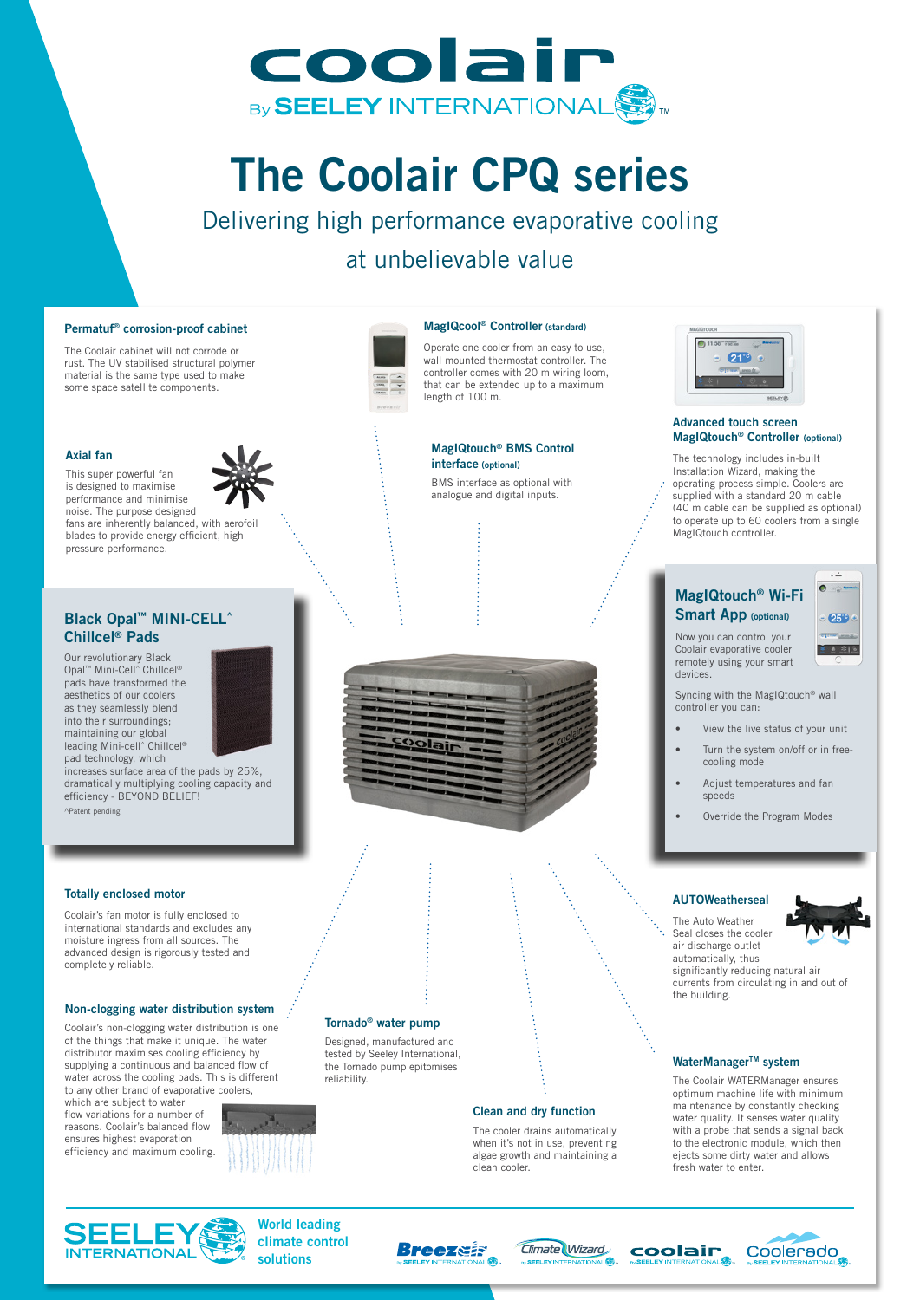

# The Coolair CPQ series

Delivering high performance evaporative cooling at unbelievable value

#### Permatuf® corrosion-proof cabinet

The Coolair cabinet will not corrode or rust. The UV stabilised structural polymer material is the same type used to make some space satellite components.

#### Axial fan

This super powerful fan is designed to maximise performance and minimise noise. The purpose designed fans are inherently balanced, with aerofoil blades to provide energy efficient, high pressure performance.

# Black Opal™ MINI-CELL^ Chillcel® Pads

Our revolutionary Black Opal™ Mini-Cell^ Chillcel® pads have transformed the aesthetics of our coolers as they seamlessly blend into their surroundings; maintaining our global leading Mini-cell^ Chillcel® pad technology, which



increases surface area of the pads by 25%, dramatically multiplying cooling capacity and efficiency - BEYOND BELIEF! ^Patent pending

#### Totally enclosed motor

Coolair's fan motor is fully enclosed to international standards and excludes any moisture ingress from all sources. The advanced design is rigorously tested and completely reliable.

#### Non-clogging water distribution system

Coolair's non-clogging water distribution is one of the things that make it unique. The water distributor maximises cooling efficiency by supplying a continuous and balanced flow of water across the cooling pads. This is different to any other brand of evaporative coolers.

which are subject to water flow variations for a number of reasons. Coolair's balanced flow ensures highest evaporation efficiency and maximum cooling.





#### MagIQcool® Controller (standard)

Operate one cooler from an easy to use, wall mounted thermostat controller. The controller comes with 20 m wiring loom, that can be extended up to a maximum length of 100 m.

# MagIQtouch® BMS Control

interface (optional) BMS interface as optional with analogue and digital inputs.



# Tornado® water pump

tested by Seeley International, the Tornado pump epitomises reliability.



#### Designed, manufactured and

#### Clean and dry function

The cooler drains automatically when it's not in use, preventing algae growth and maintaining a clean cooler.



#### Advanced touch screen MagIQtouch® Controller (optional)

The technology includes in-built Installation Wizard, making the operating process simple. Coolers are supplied with a standard 20 m cable (40 m cable can be supplied as optional) to operate up to 60 coolers from a single MagIQtouch controller.

# MagIQtouch® Wi-Fi Smart App (optional)

Now you can control your Coolair evaporative cooler remotely using your smart



devices.

- Syncing with the MagIQtouch® wall controller you can:
- View the live status of your unit
- Turn the system on/off or in freecooling mode
- Adjust temperatures and fan speeds
- Override the Program Modes

## AUTOWeatherseal

The Auto Weather Seal closes the cooler air discharge outlet automatically, thus significantly reducing natural air currents from circulating in and out of the building.

## WaterManager™ system

The Coolair WATERManager ensures optimum machine life with minimum maintenance by constantly checking water quality. It senses water quality with a probe that sends a signal back to the electronic module, which then ejects some dirty water and allows fresh water to enter.



World leading climate control solutions